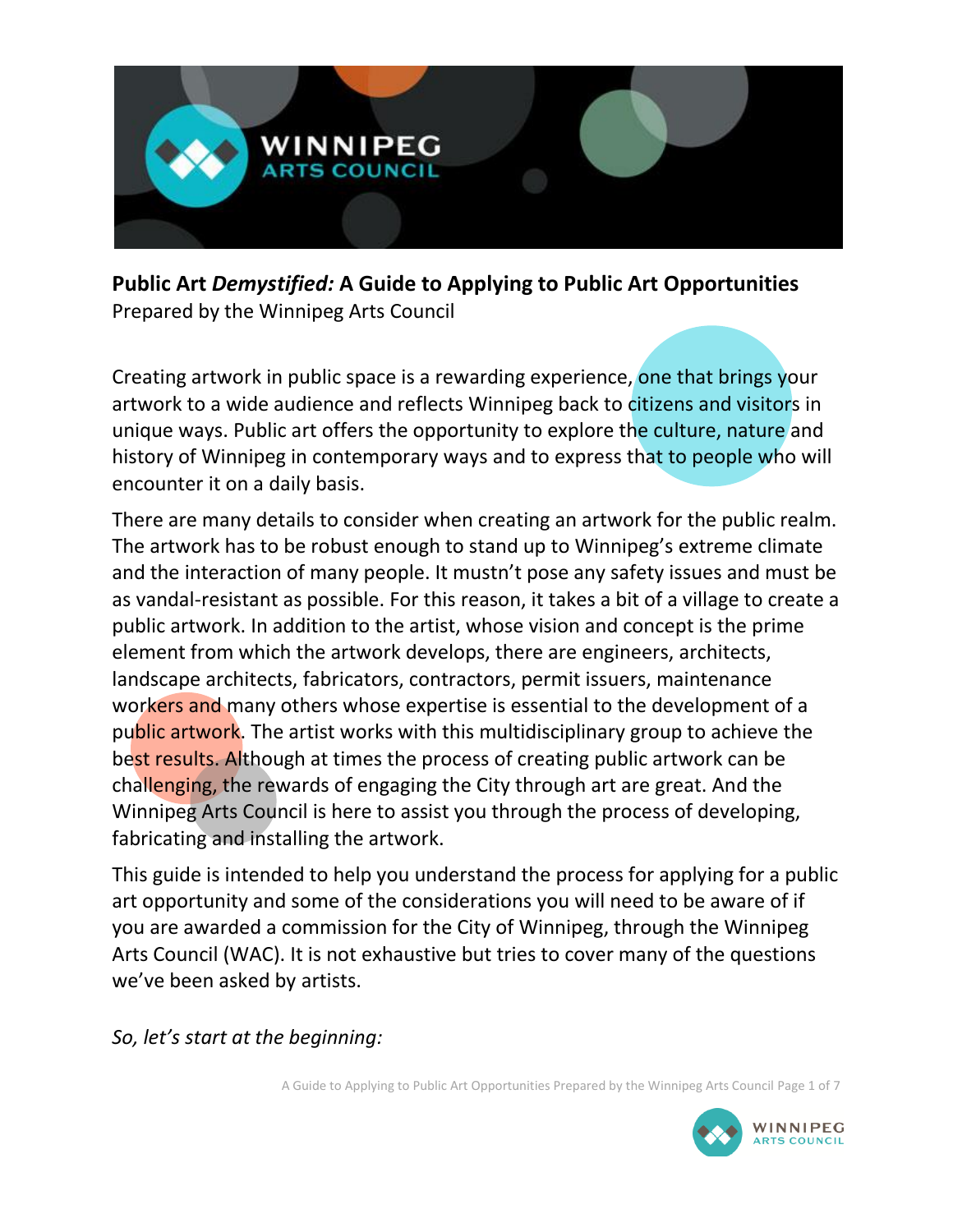

**Public Art** *Demystified:* **A Guide to Applying to Public Art Opportunities** Prepared by the Winnipeg Arts Council

Creating artwork in public space is a rewarding experience, one that brings your artwork to a wide audience and reflects Winnipeg back to citizens and visitors in unique ways. Public art offers the opportunity to explore the culture, nature and history of Winnipeg in contemporary ways and to express that to people who will encounter it on a daily basis.

There are many details to consider when creating an artwork for the public realm. The artwork has to be robust enough to stand up to Winnipeg's extreme climate and the interaction of many people. It mustn't pose any safety issues and must be as vandal-resistant as possible. For this reason, it takes a bit of a village to create a public artwork. In addition to the artist, whose vision and concept is the prime element from which the artwork develops, there are engineers, architects, landscape architects, fabricators, contractors, permit issuers, maintenance workers and many others whose expertise is essential to the development of a public artwork. The artist works with this multidisciplinary group to achieve the best results. Although at times the process of creating public artwork can be challenging, the rewards of engaging the City through art are great. And the Winnipeg Arts Council is here to assist you through the process of developing, fabricating and installing the artwork.

This guide is intended to help you understand the process for applying for a public art opportunity and some of the considerations you will need to be aware of if you are awarded a commission for the City of Winnipeg, through the Winnipeg Arts Council (WAC). It is not exhaustive but tries to cover many of the questions we've been asked by artists.

*So, let's start at the beginning:*

A Guide to Applying to Public Art Opportunities Prepared by the Winnipeg Arts Council Page 1 of 7

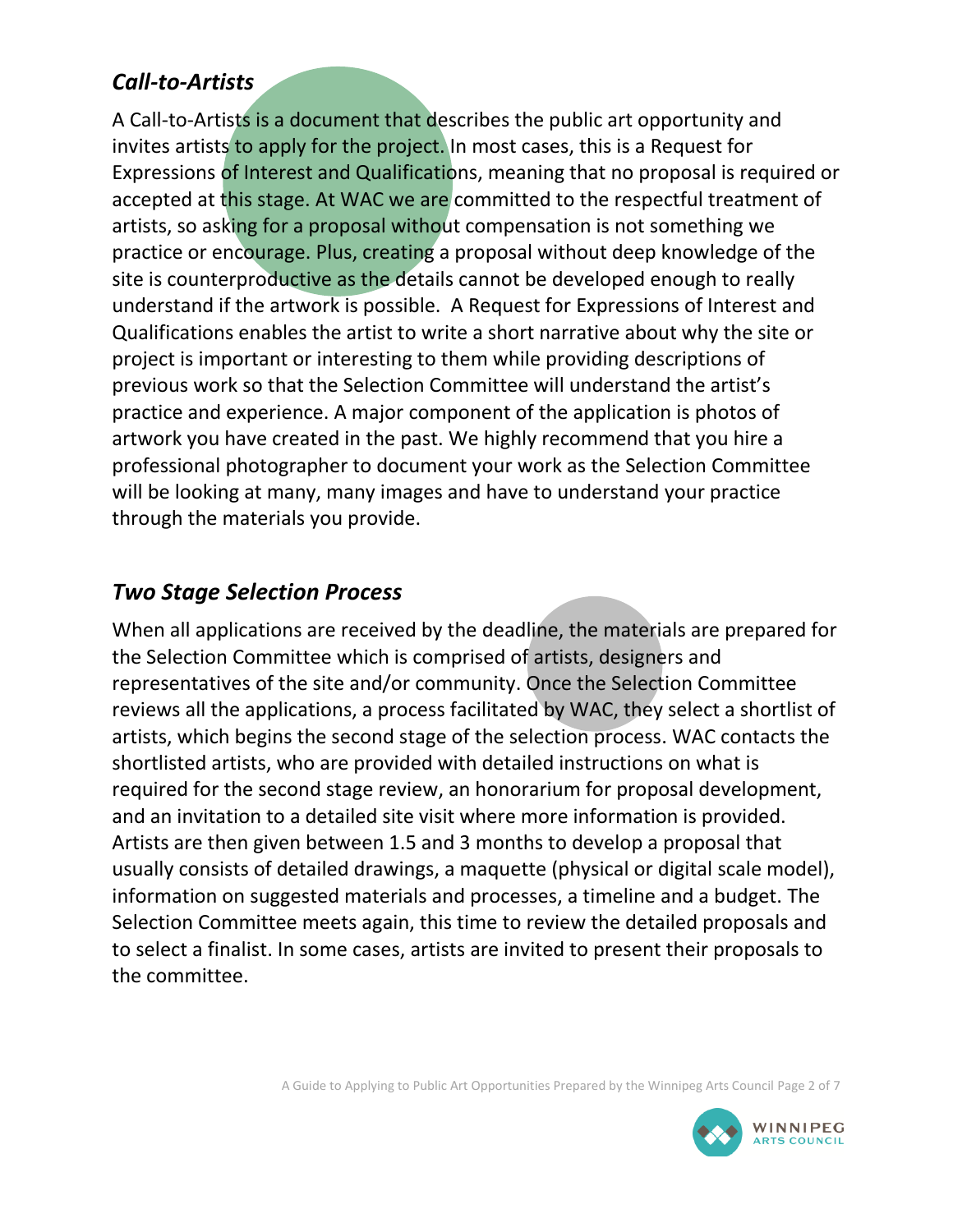### *Call-to-Artists*

A Call-to-Artists is a document that describes the public art opportunity and invites artists to apply for the project. In most cases, this is a Request for Expressions of Interest and Qualifications, meaning that no proposal is required or accepted at this stage. At WAC we are committed to the respectful treatment of artists, so asking for a proposal without compensation is not something we practice or encourage. Plus, creating a proposal without deep knowledge of the site is counterproductive as the details cannot be developed enough to really understand if the artwork is possible. A Request for Expressions of Interest and Qualifications enables the artist to write a short narrative about why the site or project is important or interesting to them while providing descriptions of previous work so that the Selection Committee will understand the artist's practice and experience. A major component of the application is photos of artwork you have created in the past. We highly recommend that you hire a professional photographer to document your work as the Selection Committee will be looking at many, many images and have to understand your practice through the materials you provide.

### *Two Stage Selection Process*

When all applications are received by the deadline, the materials are prepared for the Selection Committee which is comprised of artists, designers and representatives of the site and/or community. Once the Selection Committee reviews all the applications, a process facilitated by WAC, they select a shortlist of artists, which begins the second stage of the selection process. WAC contacts the shortlisted artists, who are provided with detailed instructions on what is required for the second stage review, an honorarium for proposal development, and an invitation to a detailed site visit where more information is provided. Artists are then given between 1.5 and 3 months to develop a proposal that usually consists of detailed drawings, a maquette (physical or digital scale model), information on suggested materials and processes, a timeline and a budget. The Selection Committee meets again, this time to review the detailed proposals and to select a finalist. In some cases, artists are invited to present their proposals to the committee.

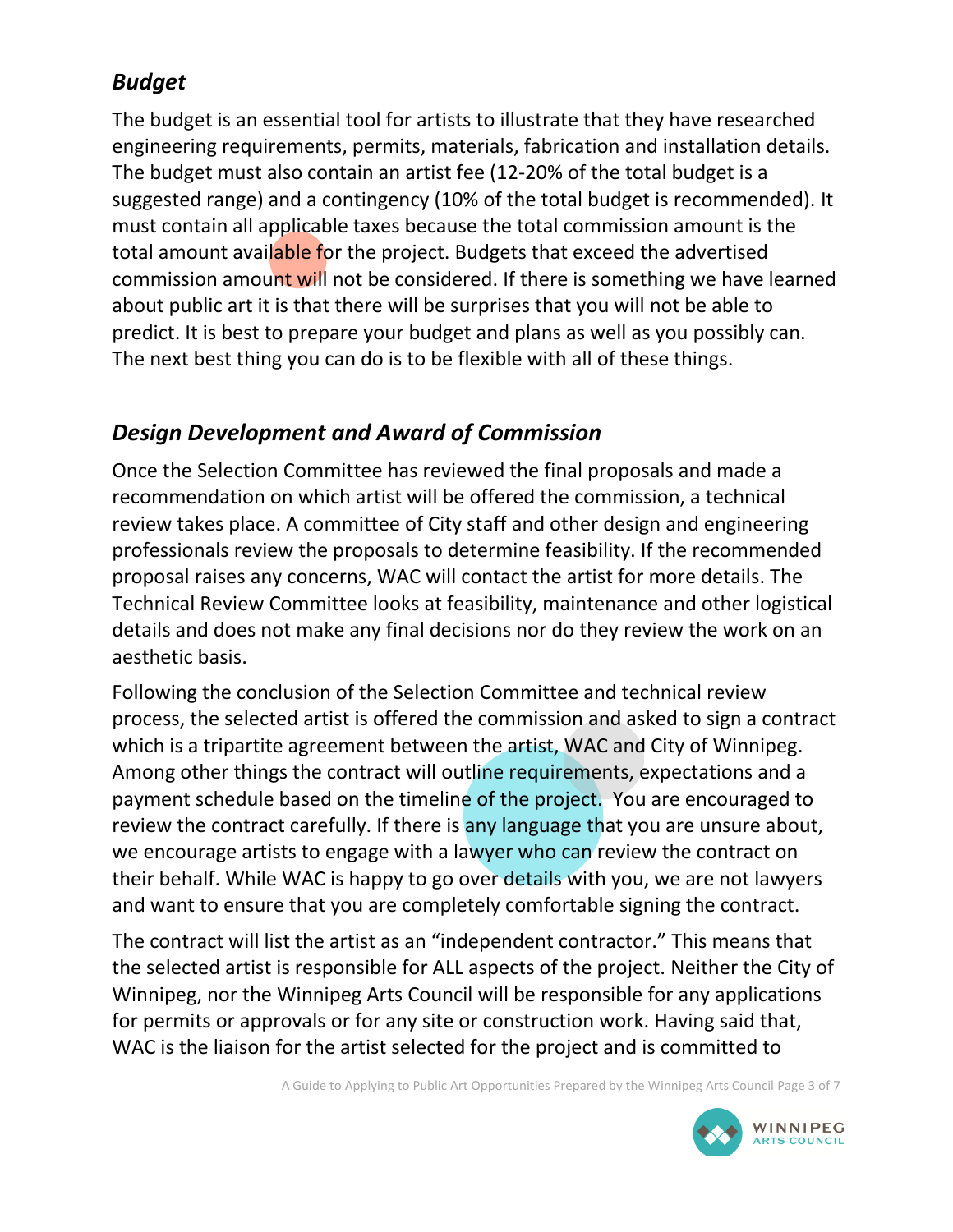# *Budget*

The budget is an essential tool for artists to illustrate that they have researched engineering requirements, permits, materials, fabrication and installation details. The budget must also contain an artist fee (12-20% of the total budget is a suggested range) and a contingency (10% of the total budget is recommended). It must contain all applicable taxes because the total commission amount is the total amount available for the project. Budgets that exceed the advertised commission amount will not be considered. If there is something we have learned about public art it is that there will be surprises that you will not be able to predict. It is best to prepare your budget and plans as well as you possibly can. The next best thing you can do is to be flexible with all of these things.

# *Design Development and Award of Commission*

Once the Selection Committee has reviewed the final proposals and made a recommendation on which artist will be offered the commission, a technical review takes place. A committee of City staff and other design and engineering professionals review the proposals to determine feasibility. If the recommended proposal raises any concerns, WAC will contact the artist for more details. The Technical Review Committee looks at feasibility, maintenance and other logistical details and does not make any final decisions nor do they review the work on an aesthetic basis.

Following the conclusion of the Selection Committee and technical review process, the selected artist is offered the commission and asked to sign a contract which is a tripartite agreement between the artist, WAC and City of Winnipeg. Among other things the contract will outline requirements, expectations and a payment schedule based on the timeline of the project. You are encouraged to review the contract carefully. If there is any language that you are unsure about, we encourage artists to engage with a lawyer who can review the contract on their behalf. While WAC is happy to go over details with you, we are not lawyers and want to ensure that you are completely comfortable signing the contract.

The contract will list the artist as an "independent contractor." This means that the selected artist is responsible for ALL aspects of the project. Neither the City of Winnipeg, nor the Winnipeg Arts Council will be responsible for any applications for permits or approvals or for any site or construction work. Having said that, WAC is the liaison for the artist selected for the project and is committed to

A Guide to Applying to Public Art Opportunities Prepared by the Winnipeg Arts Council Page 3 of 7

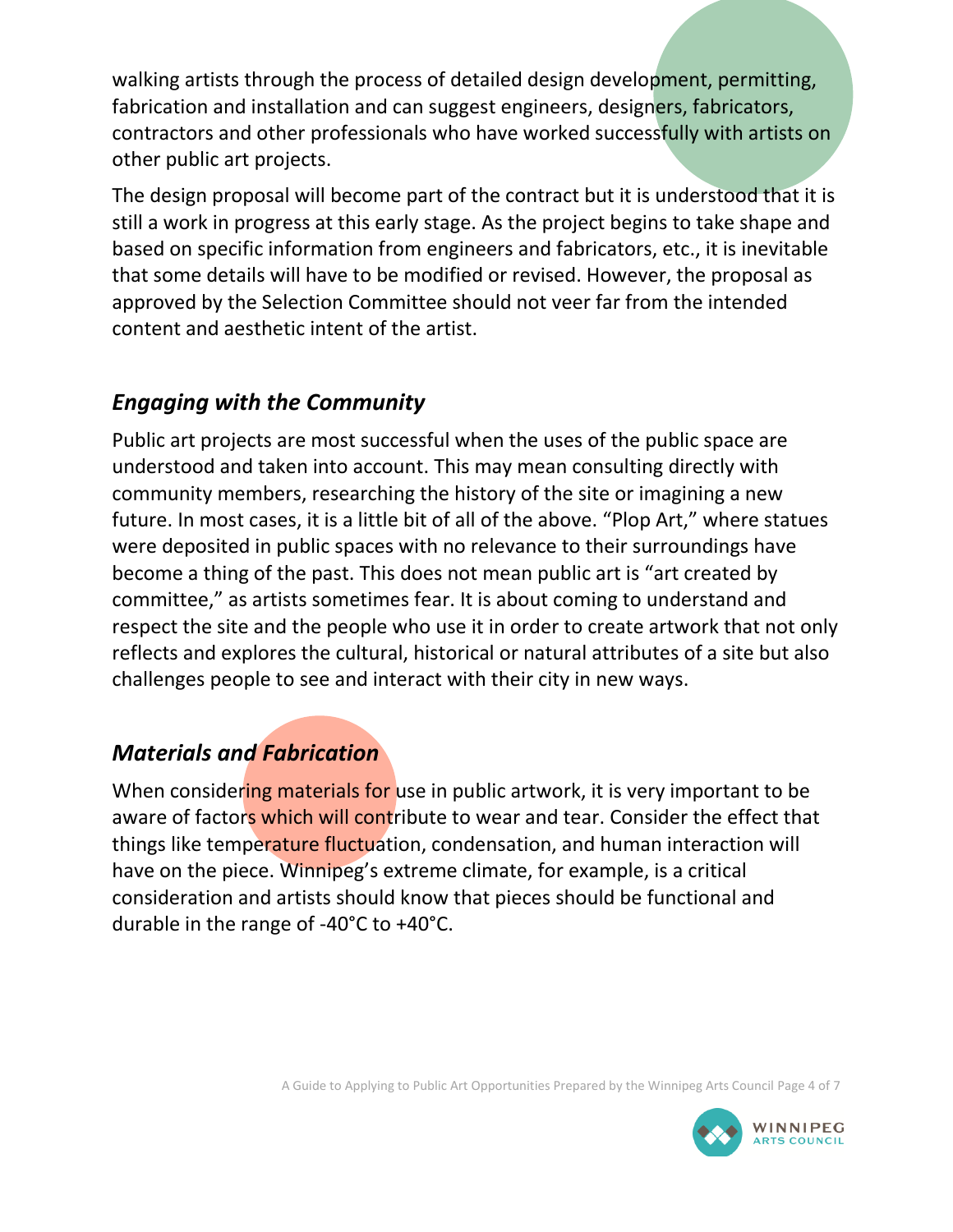walking artists through the process of detailed design development, permitting, fabrication and installation and can suggest engineers, designers, fabricators, contractors and other professionals who have worked successfully with artists on other public art projects.

The design proposal will become part of the contract but it is understood that it is still a work in progress at this early stage. As the project begins to take shape and based on specific information from engineers and fabricators, etc., it is inevitable that some details will have to be modified or revised. However, the proposal as approved by the Selection Committee should not veer far from the intended content and aesthetic intent of the artist.

## *Engaging with the Community*

Public art projects are most successful when the uses of the public space are understood and taken into account. This may mean consulting directly with community members, researching the history of the site or imagining a new future. In most cases, it is a little bit of all of the above. "Plop Art," where statues were deposited in public spaces with no relevance to their surroundings have become a thing of the past. This does not mean public art is "art created by committee," as artists sometimes fear. It is about coming to understand and respect the site and the people who use it in order to create artwork that not only reflects and explores the cultural, historical or natural attributes of a site but also challenges people to see and interact with their city in new ways.

## *Materials and Fabrication*

When considering materials for use in public artwork, it is very important to be aware of factors which will contribute to wear and tear. Consider the effect that things like temperature fluctuation, condensation, and human interaction will have on the piece. Winnipeg's extreme climate, for example, is a critical consideration and artists should know that pieces should be functional and durable in the range of -40°C to +40°C.

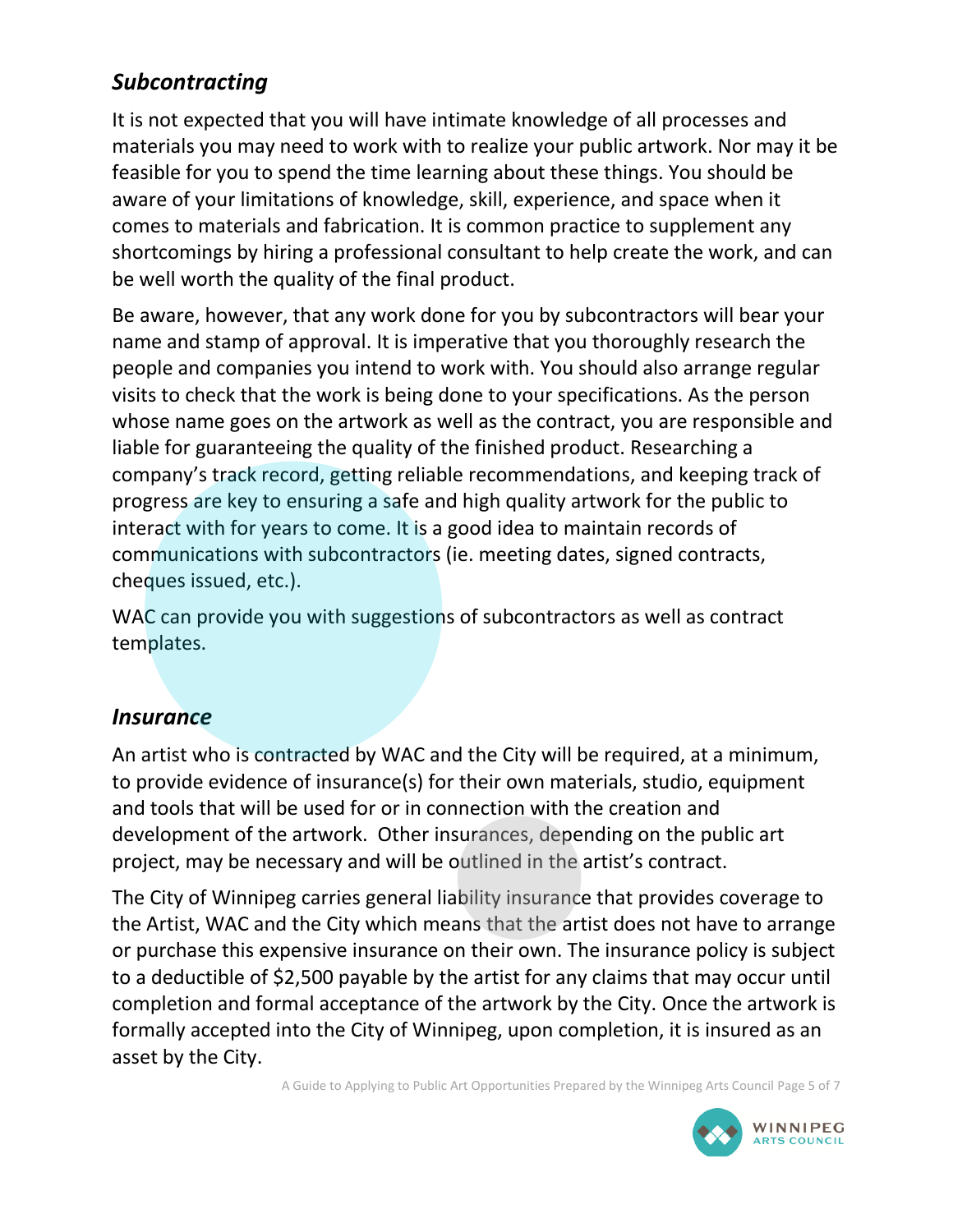# *Subcontracting*

It is not expected that you will have intimate knowledge of all processes and materials you may need to work with to realize your public artwork. Nor may it be feasible for you to spend the time learning about these things. You should be aware of your limitations of knowledge, skill, experience, and space when it comes to materials and fabrication. It is common practice to supplement any shortcomings by hiring a professional consultant to help create the work, and can be well worth the quality of the final product.

Be aware, however, that any work done for you by subcontractors will bear your name and stamp of approval. It is imperative that you thoroughly research the people and companies you intend to work with. You should also arrange regular visits to check that the work is being done to your specifications. As the person whose name goes on the artwork as well as the contract, you are responsible and liable for guaranteeing the quality of the finished product. Researching a company's track record, getting reliable recommendations, and keeping track of progress are key to ensuring a safe and high quality artwork for the public to interact with for years to come. It is a good idea to maintain records of communications with subcontractors (ie. meeting dates, signed contracts, cheques issued, etc.).

WAC can provide you with suggestions of subcontractors as well as contract templates.

#### *Insurance*

An artist who is contracted by WAC and the City will be required, at a minimum, to provide evidence of insurance(s) for their own materials, studio, equipment and tools that will be used for or in connection with the creation and development of the artwork. Other insurances, depending on the public art project, may be necessary and will be outlined in the artist's contract.

The City of Winnipeg carries general liability insurance that provides coverage to the Artist, WAC and the City which means that the artist does not have to arrange or purchase this expensive insurance on their own. The insurance policy is subject to a deductible of \$2,500 payable by the artist for any claims that may occur until completion and formal acceptance of the artwork by the City. Once the artwork is formally accepted into the City of Winnipeg, upon completion, it is insured as an asset by the City.

A Guide to Applying to Public Art Opportunities Prepared by the Winnipeg Arts Council Page 5 of 7

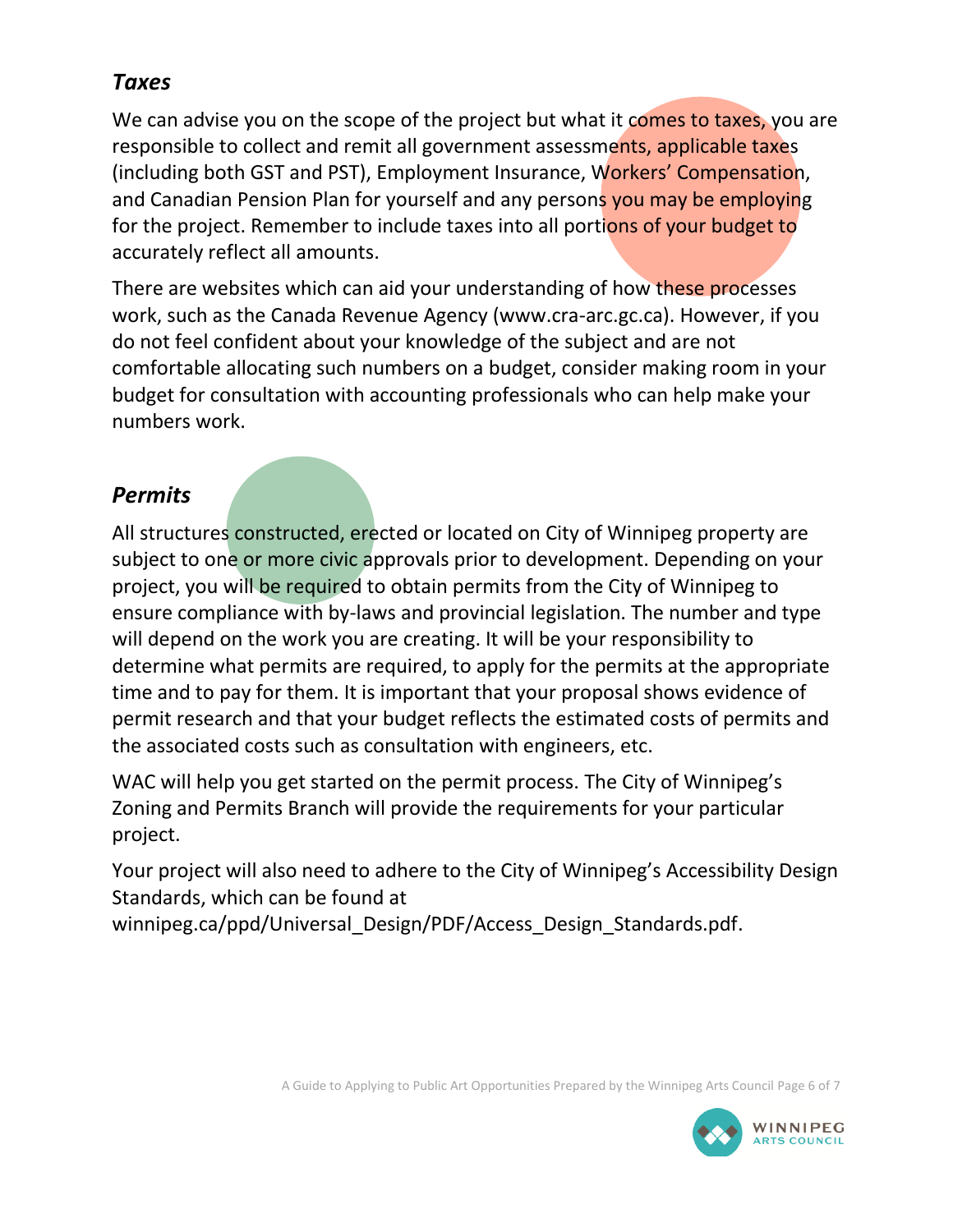### *Taxes*

We can advise you on the scope of the project but what it comes to taxes, you are responsible to collect and remit all government assessments, applicable taxes (including both GST and PST), Employment Insurance, Workers' Compensation, and Canadian Pension Plan for yourself and any persons you may be employing for the project. Remember to include taxes into all portions of your budget to accurately reflect all amounts.

There are websites which can aid your understanding of how these processes work, such as the Canada Revenue Agency (www.cra-arc.gc.ca). However, if you do not feel confident about your knowledge of the subject and are not comfortable allocating such numbers on a budget, consider making room in your budget for consultation with accounting professionals who can help make your numbers work.

## *Permits*

All structures constructed, erected or located on City of Winnipeg property are subject to one or more civic approvals prior to development. Depending on your project, you will be required to obtain permits from the City of Winnipeg to ensure compliance with by-laws and provincial legislation. The number and type will depend on the work you are creating. It will be your responsibility to determine what permits are required, to apply for the permits at the appropriate time and to pay for them. It is important that your proposal shows evidence of permit research and that your budget reflects the estimated costs of permits and the associated costs such as consultation with engineers, etc.

WAC will help you get started on the permit process. The City of Winnipeg's Zoning and Permits Branch will provide the requirements for your particular project.

Your project will also need to adhere to the City of Winnipeg's Accessibility Design Standards, which can be found at

winnipeg.ca/ppd/Universal\_Design/PDF/Access\_Design\_Standards.pdf.

A Guide to Applying to Public Art Opportunities Prepared by the Winnipeg Arts Council Page 6 of 7